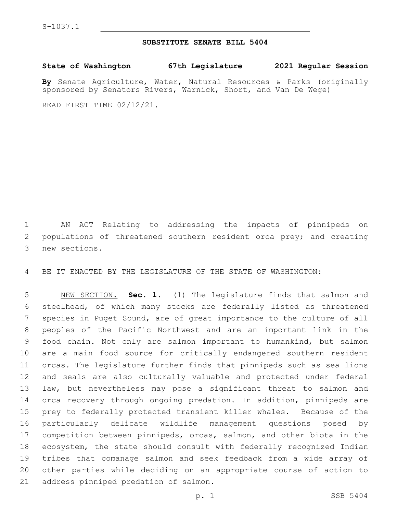## **SUBSTITUTE SENATE BILL 5404**

**State of Washington 67th Legislature 2021 Regular Session**

**By** Senate Agriculture, Water, Natural Resources & Parks (originally sponsored by Senators Rivers, Warnick, Short, and Van De Wege)

READ FIRST TIME 02/12/21.

 AN ACT Relating to addressing the impacts of pinnipeds on 2 populations of threatened southern resident orca prey; and creating 3 new sections.

BE IT ENACTED BY THE LEGISLATURE OF THE STATE OF WASHINGTON:

 NEW SECTION. **Sec. 1.** (1) The legislature finds that salmon and steelhead, of which many stocks are federally listed as threatened species in Puget Sound, are of great importance to the culture of all peoples of the Pacific Northwest and are an important link in the food chain. Not only are salmon important to humankind, but salmon are a main food source for critically endangered southern resident orcas. The legislature further finds that pinnipeds such as sea lions and seals are also culturally valuable and protected under federal law, but nevertheless may pose a significant threat to salmon and orca recovery through ongoing predation. In addition, pinnipeds are prey to federally protected transient killer whales. Because of the particularly delicate wildlife management questions posed by competition between pinnipeds, orcas, salmon, and other biota in the ecosystem, the state should consult with federally recognized Indian tribes that comanage salmon and seek feedback from a wide array of other parties while deciding on an appropriate course of action to address pinniped predation of salmon.

p. 1 SSB 5404